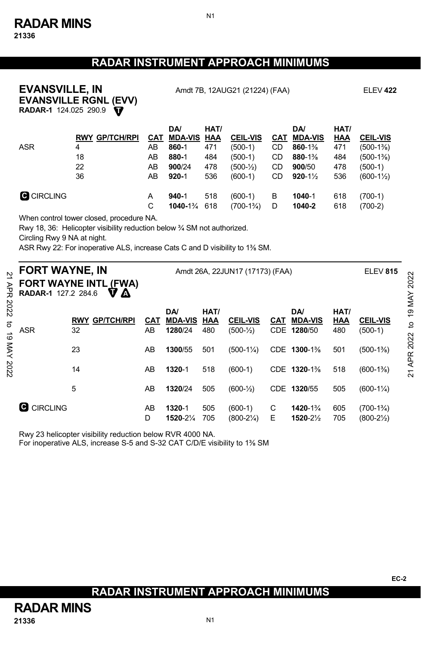## **RADAR INSTRUMENT APPROACH MINIMUMS**

N1

# **EVANSVILLE RGNL (EVV) EVANSVILLE, IN** Amdt 7B, 12AUG21 (21224) (FAA) ELEV **422**

**T RADAR-1** 124.025 290.9

|                   |                       |            | <b>DA</b>          | HAT/ |                       |     | <b>DA</b>            | HAT/ |                      |
|-------------------|-----------------------|------------|--------------------|------|-----------------------|-----|----------------------|------|----------------------|
|                   | <b>RWY GP/TCH/RPI</b> | <b>CAT</b> | <b>MDA-VIS HAA</b> |      | <b>CEIL-VIS</b>       | CAT | <b>MDA-VIS</b>       | HAA  | <b>CEIL-VIS</b>      |
| <b>ASR</b>        | 4                     | AB         | 860-1              | 471  | $(500-1)$             | CD  | 860-1%               | 471  | $(500-1\%)$          |
|                   | 18                    | AB         | 880-1              | 484  | $(500-1)$             | CD  | 880-1%               | 484  | $(500-1\%)$          |
|                   | 22                    | AB         | 900/24             | 478  | $(500 - \frac{1}{2})$ | CD  | 900/50               | 478  | $(500-1)$            |
|                   | 36                    | AB         | $920 - 1$          | 536  | $(600-1)$             | CD. | $920 - 1\frac{1}{2}$ | 536  | $(600-1\frac{1}{2})$ |
| <b>C</b> CIRCLING |                       | A          | $940 - 1$          | 518  | $(600-1)$             | в   | 1040-1               | 618  | $(700-1)$            |
|                   |                       | С          | $1040 - 1\%$ 618   |      | $(700-1\frac{3}{4})$  | D   | 1040-2               | 618  | $(700-2)$            |

When control tower closed, procedure NA.

Rwy 18, 36: Helicopter visibility reduction below ¾ SM not authorized.

Circling Rwy 9 NA at night.

ASR Rwy 22: For inoperative ALS, increase Cats C and D visibility to 1⅜ SM.

| <b>FORT WAYNE, IN</b><br>RADAR-1 127.2 284.6 | <b>FORT WAYNE INTL (FWA)</b><br>V A   |                  | <b>ELEV 815</b>                        |                    |                                   |            |                                            |                           |                                     |
|----------------------------------------------|---------------------------------------|------------------|----------------------------------------|--------------------|-----------------------------------|------------|--------------------------------------------|---------------------------|-------------------------------------|
| <b>ASR</b>                                   | <b>GP/TCH/RPI</b><br><b>RWY</b><br>32 | <b>CAT</b><br>AB | <b>DA</b><br><b>MDA-VIS</b><br>1280/24 | HAT/<br>HAA<br>480 | <b>CEIL-VIS</b><br>$(500-1)$      | <b>CAT</b> | <b>DA</b><br><b>MDA-VIS</b><br>CDE 1280/50 | HAT/<br><b>HAA</b><br>480 | <b>CEIL-VIS</b><br>$(500-1)$        |
|                                              | 23                                    | AB               | 1300/55                                | 501                | $(500-1\frac{1}{4})$              |            | CDE 1300-1%                                | 501                       | $(500-1\%)$                         |
|                                              | 14                                    | AB               | 1320-1                                 | 518                | $(600-1)$                         |            | CDE 1320-1%                                | 518                       | $(600-1\%)$                         |
|                                              | 5                                     | AB               | 1320/24                                | 505                | $(600 - \frac{1}{2})$             |            | CDE 1320/55                                | 505                       | $(600-1\frac{1}{4})$                |
| <b>G</b> CIRCLING                            |                                       | AB<br>D          | 1320-1<br>1520-21/4                    | 505<br>705         | $(600-1)$<br>$(800-2\frac{1}{4})$ | C<br>Ε     | 1420-1%<br>1520-21/2                       | 605<br>705                | $(700-1\%)$<br>$(800-2\frac{1}{2})$ |

Rwy 23 helicopter visibility reduction below RVR 4000 NA.

For inoperative ALS, increase S-5 and S-32 CAT C/D/E visibility to 1⅜ SM

**RADAR INSTRUMENT APPROACH MINIMUMS**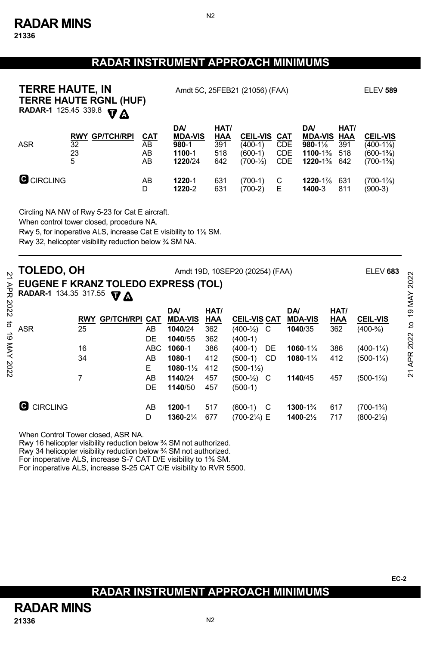#### **RADAR INSTRUMENT APPROACH MINIMUMS**

N2

| <b>TERRE HAUTE, IN</b><br><b>RADAR-1</b> 125.45 339.8 | <b>TERRE HAUTE RGNL (HUF)</b><br><b>VA</b>       | Amdt 5C, 25FEB21 (21056) (FAA) | <b>ELEV 589</b>                                         |                                         |                                                          |                                               |                                                                  |                                  |                                                       |
|-------------------------------------------------------|--------------------------------------------------|--------------------------------|---------------------------------------------------------|-----------------------------------------|----------------------------------------------------------|-----------------------------------------------|------------------------------------------------------------------|----------------------------------|-------------------------------------------------------|
| <b>ASR</b>                                            | <b>GP/TCH/RPI</b><br><b>RWY</b><br>32<br>23<br>5 | <u>CAT</u><br>AB<br>AB<br>AB   | DA/<br><b>MDA-VIS</b><br>$980 - 1$<br>1100-1<br>1220/24 | HAT/<br>$\frac{HAA}{391}$<br>518<br>642 | <b>CEIL-VIS</b><br>$(400-1)$<br>$(600-1)$<br>$(700-1/2)$ | CAT<br><b>CDE</b><br><b>CDE</b><br><b>CDE</b> | <b>DA</b><br><b>MDA-VIS</b><br>$980 - 1\%$<br>1100-1%<br>1220-1% | HAT/<br>HAA<br>391<br>518<br>642 | <b>CEIL-VIS</b><br>(400-11/8)<br>(600-1%)<br>(700-1%) |
| <b>G</b> CIRCLING                                     |                                                  | AB<br>D                        | 1220-1<br>1220-2                                        | 631<br>631                              | (700-1)<br>(700-2)                                       | С<br>Е                                        | $1220 - 1\%$<br>1400-3                                           | 631<br>811                       | (700-11/8)<br>(900-3)                                 |

Circling NA NW of Rwy 5-23 for Cat E aircraft.

When control tower closed, procedure NA.

Rwy 5, for inoperative ALS, increase Cat E visibility to 1⅞ SM.

Rwy 32, helicopter visibility reduction below ¾ SM NA.

| AP<br>PR | TOLEDO, OH<br>EUGENE F KRANZ TOLEDO EXPRESS (TOL)<br><b>RADAR-1</b> 134.35 317.55 | Amdt 19D, 10SEP20 (20254) (FAA) |                   | ELEV 683   | $\sim$<br>202<br><b>19 MAY</b> |            |                     |     |                |      |                      |      |
|----------|-----------------------------------------------------------------------------------|---------------------------------|-------------------|------------|--------------------------------|------------|---------------------|-----|----------------|------|----------------------|------|
| 2022     |                                                                                   |                                 |                   |            | DA/                            | HAT/       |                     |     | DA/            | HAT/ |                      |      |
| ನ        |                                                                                   | <b>RWY</b>                      | <b>GP/TCH/RPI</b> | <b>CAT</b> | <b>MDA-VIS</b>                 | <b>HAA</b> | <b>CEIL-VIS CAT</b> |     | <b>MDA-VIS</b> | HAA  | <b>CEIL-VIS</b>      |      |
|          | <b>ASR</b>                                                                        | 25                              |                   | AB         | 1040/24                        | 362        | $(400-1)$ C         |     | 1040/35        | 362  | $(400-5/8)$          | đ    |
| ಠ        |                                                                                   |                                 |                   | DE         | 1040/55                        | 362        | $(400-1)$           |     |                |      |                      | 2022 |
| XAN      |                                                                                   | 16                              |                   | <b>ABC</b> | 1060-1                         | 386        | $(400-1)$           | DE  | 1060-11/4      | 386  | $(400-1\frac{1}{4})$ |      |
|          |                                                                                   | 34                              |                   | AB         | 1080-1                         | 412        | $(500-1)$           | CD  | 1080-11/4      | 412  | $(500-1\frac{1}{4})$ | APR  |
| 2022     |                                                                                   |                                 |                   | Е          | $1080 - 1\frac{1}{2}$          | 412        | (500-1½)            |     |                |      |                      |      |
|          |                                                                                   |                                 |                   | AB         | 1140/24                        | 457        | $(500-1)$ C         |     | 1140/45        | 457  | $(500-1\%)$          | 21   |
|          |                                                                                   |                                 |                   | DE         | 1140/50                        | 457        | $(500-1)$           |     |                |      |                      |      |
|          |                                                                                   |                                 |                   |            |                                |            |                     |     |                |      |                      |      |
|          | <b>CIRCLING</b>                                                                   |                                 |                   | AB         | 1200-1                         | 517        | (600-1)             | - C | 1300-1%        | 617  | $(700-1\frac{3}{4})$ |      |
|          |                                                                                   |                                 |                   | D          | 1360-21/4                      | 677        | (700-21/4) E        |     | 1400-21/2      | 717  | $(800-2\frac{1}{2})$ |      |

When Control Tower closed, ASR NA.

Rwy 16 helicopter visibility reduction below ¾ SM not authorized.

Rwy 34 helicopter visibility reduction below ¾ SM not authorized.

For inoperative ALS, increase S-7 CAT D/E visibility to 1⅜ SM.

For inoperative ALS, increase S-25 CAT C/E visibility to RVR 5500.

## **RADAR INSTRUMENT APPROACH MINIMUMS**